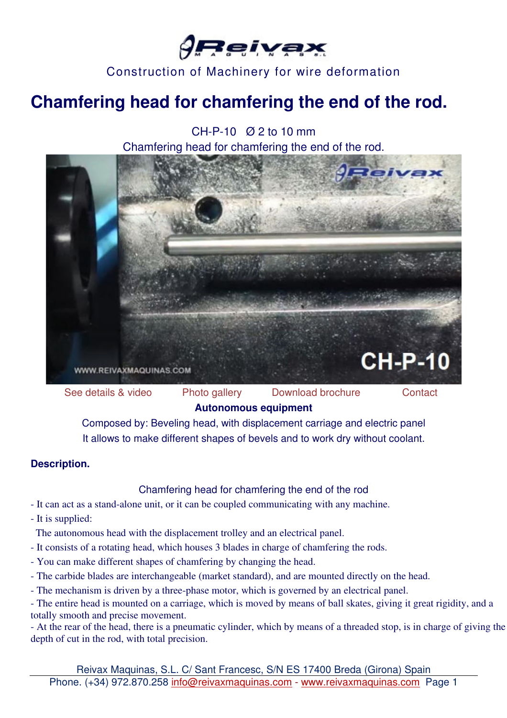

# **Chamfering head for chamfering the end of the rod.**

CH-P-10 Ø 2 to 10 mm Chamfering head for chamfering the end of the rod.



See details & video Photo gallery Download brochure Contact **Autonomous equipment** 

Composed by: Beveling head, with displacement carriage and electric panel It allows to make different shapes of bevels and to work dry without coolant.

#### **Description.**

Chamfering head for chamfering the end of the rod

- It can act as a stand-alone unit, or it can be coupled communicating with any machine.

- It is supplied:

The autonomous head with the displacement trolley and an electrical panel.

- It consists of a rotating head, which houses 3 blades in charge of chamfering the rods.
- You can make different shapes of chamfering by changing the head.
- The carbide blades are interchangeable (market standard), and are mounted directly on the head.
- The mechanism is driven by a three-phase motor, which is governed by an electrical panel.

- The entire head is mounted on a carriage, which is moved by means of ball skates, giving it great rigidity, and a totally smooth and precise movement.

- At the rear of the head, there is a pneumatic cylinder, which by means of a threaded stop, is in charge of giving the depth of cut in the rod, with total precision.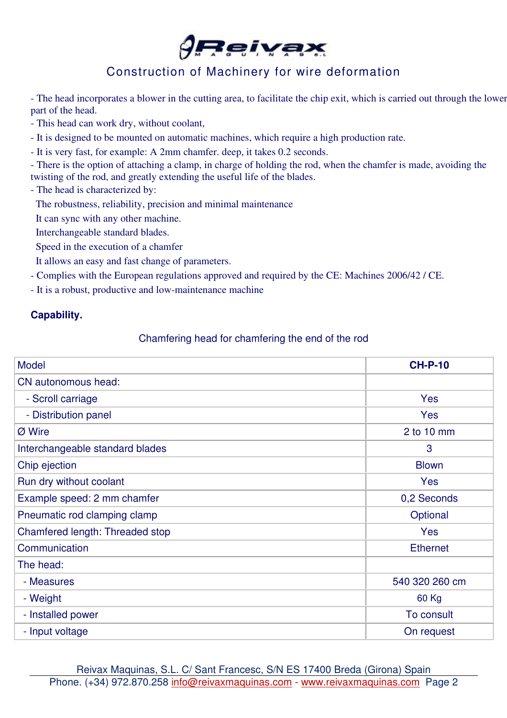

- The head incorporates a blower in the cutting area, to facilitate the chip exit, which is carried out through the lower part of the head.

- This head can work dry, without coolant,
- It is designed to be mounted on automatic machines, which require a high production rate.
- It is very fast, for example: A 2mm chamfer. deep, it takes 0.2 seconds.
- There is the option of attaching a clamp, in charge of holding the rod, when the chamfer is made, avoiding the twisting of the rod, and greatly extending the useful life of the blades.
- The head is characterized by:
- The robustness, reliability, precision and minimal maintenance
- It can sync with any other machine.
- Interchangeable standard blades.
- Speed in the execution of a chamfer
- It allows an easy and fast change of parameters.
- Complies with the European regulations approved and required by the CE: Machines 2006/42 / CE.
- It is a robust, productive and low-maintenance machine

#### **Capability.**

#### Chamfering head for chamfering the end of the rod

| <b>Model</b>                    | <b>CH-P-10</b>  |
|---------------------------------|-----------------|
| CN autonomous head:             |                 |
| - Scroll carriage               | <b>Yes</b>      |
| - Distribution panel            | <b>Yes</b>      |
| Ø Wire                          | $2$ to 10 mm    |
| Interchangeable standard blades | 3               |
| Chip ejection                   | <b>Blown</b>    |
| Run dry without coolant         | <b>Yes</b>      |
| Example speed: 2 mm chamfer     | 0,2 Seconds     |
| Pneumatic rod clamping clamp    | Optional        |
| Chamfered length: Threaded stop | <b>Yes</b>      |
| Communication                   | <b>Ethernet</b> |
| The head:                       |                 |
| - Measures                      | 540 320 260 cm  |
| - Weight                        | 60 Kg           |
| - Installed power               | To consult      |
| - Input voltage                 | On request      |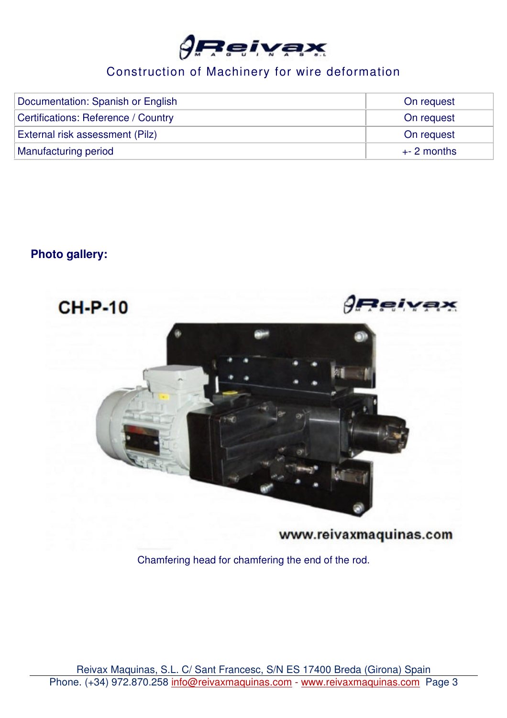

| Documentation: Spanish or English   | On request  |
|-------------------------------------|-------------|
| Certifications: Reference / Country | On request  |
| External risk assessment (Pilz)     | On request  |
| Manufacturing period                | $+2$ months |

### **Photo gallery:**



www.reivaxmaquinas.com

Chamfering head for chamfering the end of the rod.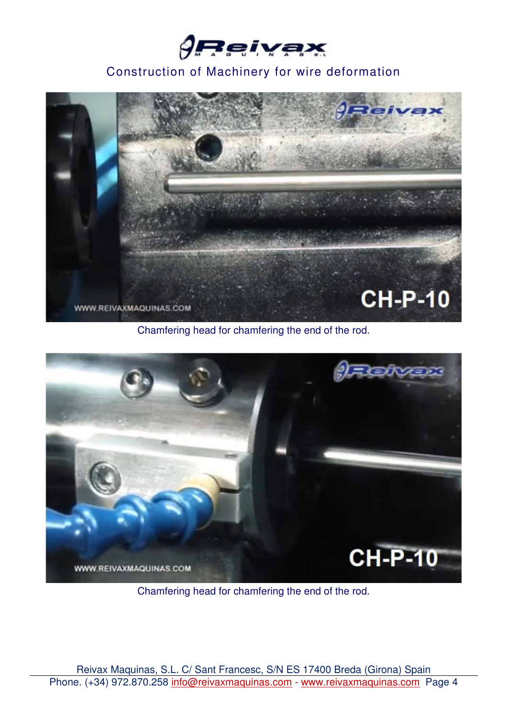



Chamfering head for chamfering the end of the rod.



Chamfering head for chamfering the end of the rod.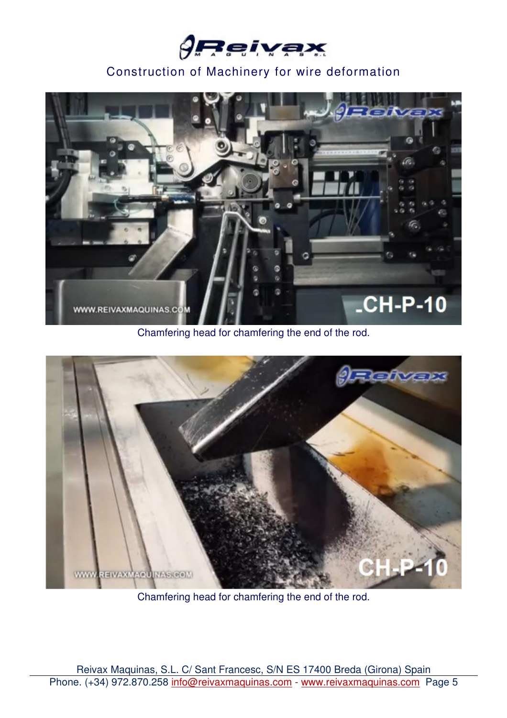



Chamfering head for chamfering the end of the rod.



Chamfering head for chamfering the end of the rod.